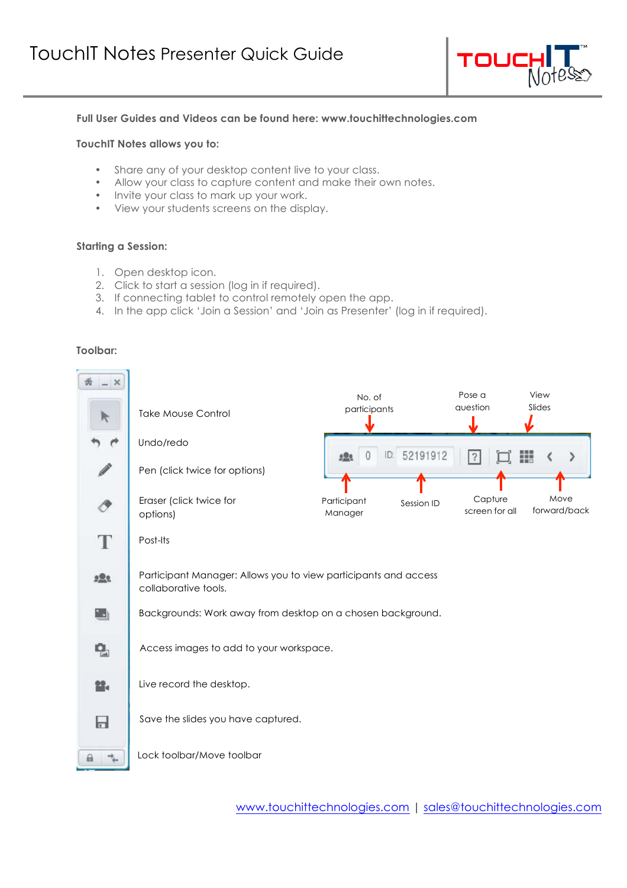

## **Full User Guides and Videos can be found here: www.touchittechnologies.com**

## **TouchIT Notes allows you to:**

- Share any of your desktop content live to your class.
- Allow your class to capture content and make their own notes.
- Invite your class to mark up your work.
- View your students screens on the display.

## **Starting a Session:**

- 1. Open desktop icon.
- 2. Click to start a session (log in if required).
- 3. If connecting tablet to control remotely open the app.
- 4. In the app click 'Join a Session' and 'Join as Presenter' (log in if required).

#### **Toolbar:**

| k           | <b>Take Mouse Control</b>                                                               | No. of<br>participants |              | Pose a<br>auestion        | View<br>Slides       |  |  |  |  |
|-------------|-----------------------------------------------------------------------------------------|------------------------|--------------|---------------------------|----------------------|--|--|--|--|
|             | Undo/redo                                                                               | <b>2.23</b>            | ID: 52191912 |                           | ш                    |  |  |  |  |
|             | Pen (click twice for options)                                                           |                        |              |                           |                      |  |  |  |  |
|             | Eraser (click twice for<br>options)                                                     | Participant<br>Manager | Session ID   | Capture<br>screen for all | Move<br>forward/back |  |  |  |  |
| T           | Post-Its                                                                                |                        |              |                           |                      |  |  |  |  |
| <u>alle</u> | Participant Manager: Allows you to view participants and access<br>collaborative tools. |                        |              |                           |                      |  |  |  |  |
| 国           | Backgrounds: Work away from desktop on a chosen background.                             |                        |              |                           |                      |  |  |  |  |
| ę,          | Access images to add to your workspace.                                                 |                        |              |                           |                      |  |  |  |  |
| ≌-          | Live record the desktop.                                                                |                        |              |                           |                      |  |  |  |  |
| 日           | Save the slides you have captured.                                                      |                        |              |                           |                      |  |  |  |  |
| ⋒           | Lock toolbar/Move toolbar                                                               |                        |              |                           |                      |  |  |  |  |